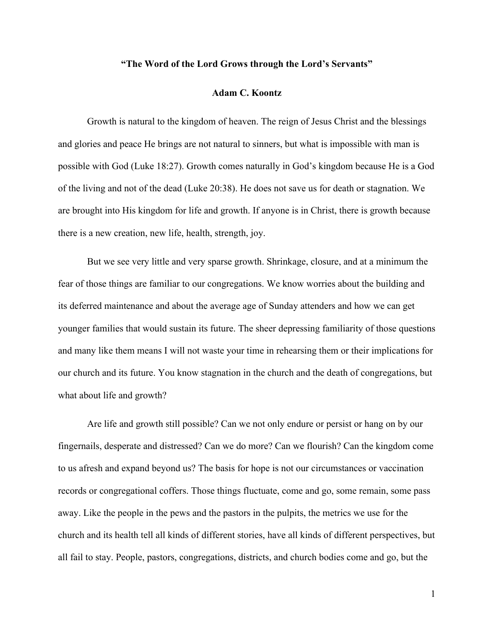# **"The Word of the Lord Grows through the Lord's Servants"**

### **Adam C. Koontz**

Growth is natural to the kingdom of heaven. The reign of Jesus Christ and the blessings and glories and peace He brings are not natural to sinners, but what is impossible with man is possible with God (Luke 18:27). Growth comes naturally in God's kingdom because He is a God of the living and not of the dead (Luke 20:38). He does not save us for death or stagnation. We are brought into His kingdom for life and growth. If anyone is in Christ, there is growth because there is a new creation, new life, health, strength, joy.

But we see very little and very sparse growth. Shrinkage, closure, and at a minimum the fear of those things are familiar to our congregations. We know worries about the building and its deferred maintenance and about the average age of Sunday attenders and how we can get younger families that would sustain its future. The sheer depressing familiarity of those questions and many like them means I will not waste your time in rehearsing them or their implications for our church and its future. You know stagnation in the church and the death of congregations, but what about life and growth?

Are life and growth still possible? Can we not only endure or persist or hang on by our fingernails, desperate and distressed? Can we do more? Can we flourish? Can the kingdom come to us afresh and expand beyond us? The basis for hope is not our circumstances or vaccination records or congregational coffers. Those things fluctuate, come and go, some remain, some pass away. Like the people in the pews and the pastors in the pulpits, the metrics we use for the church and its health tell all kinds of different stories, have all kinds of different perspectives, but all fail to stay. People, pastors, congregations, districts, and church bodies come and go, but the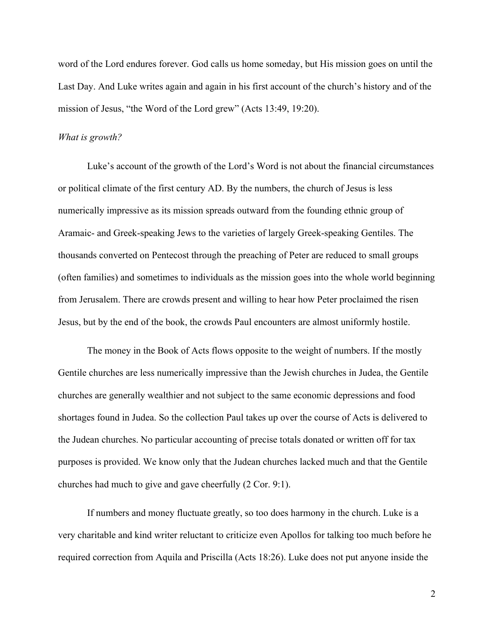word of the Lord endures forever. God calls us home someday, but His mission goes on until the Last Day. And Luke writes again and again in his first account of the church's history and of the mission of Jesus, "the Word of the Lord grew" (Acts 13:49, 19:20).

## *What is growth?*

Luke's account of the growth of the Lord's Word is not about the financial circumstances or political climate of the first century AD. By the numbers, the church of Jesus is less numerically impressive as its mission spreads outward from the founding ethnic group of Aramaic- and Greek-speaking Jews to the varieties of largely Greek-speaking Gentiles. The thousands converted on Pentecost through the preaching of Peter are reduced to small groups (often families) and sometimes to individuals as the mission goes into the whole world beginning from Jerusalem. There are crowds present and willing to hear how Peter proclaimed the risen Jesus, but by the end of the book, the crowds Paul encounters are almost uniformly hostile.

The money in the Book of Acts flows opposite to the weight of numbers. If the mostly Gentile churches are less numerically impressive than the Jewish churches in Judea, the Gentile churches are generally wealthier and not subject to the same economic depressions and food shortages found in Judea. So the collection Paul takes up over the course of Acts is delivered to the Judean churches. No particular accounting of precise totals donated or written off for tax purposes is provided. We know only that the Judean churches lacked much and that the Gentile churches had much to give and gave cheerfully (2 Cor. 9:1).

If numbers and money fluctuate greatly, so too does harmony in the church. Luke is a very charitable and kind writer reluctant to criticize even Apollos for talking too much before he required correction from Aquila and Priscilla (Acts 18:26). Luke does not put anyone inside the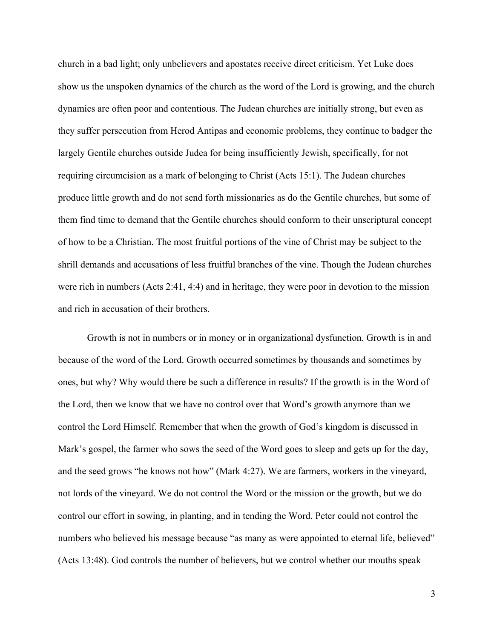church in a bad light; only unbelievers and apostates receive direct criticism. Yet Luke does show us the unspoken dynamics of the church as the word of the Lord is growing, and the church dynamics are often poor and contentious. The Judean churches are initially strong, but even as they suffer persecution from Herod Antipas and economic problems, they continue to badger the largely Gentile churches outside Judea for being insufficiently Jewish, specifically, for not requiring circumcision as a mark of belonging to Christ (Acts 15:1). The Judean churches produce little growth and do not send forth missionaries as do the Gentile churches, but some of them find time to demand that the Gentile churches should conform to their unscriptural concept of how to be a Christian. The most fruitful portions of the vine of Christ may be subject to the shrill demands and accusations of less fruitful branches of the vine. Though the Judean churches were rich in numbers (Acts 2:41, 4:4) and in heritage, they were poor in devotion to the mission and rich in accusation of their brothers.

Growth is not in numbers or in money or in organizational dysfunction. Growth is in and because of the word of the Lord. Growth occurred sometimes by thousands and sometimes by ones, but why? Why would there be such a difference in results? If the growth is in the Word of the Lord, then we know that we have no control over that Word's growth anymore than we control the Lord Himself. Remember that when the growth of God's kingdom is discussed in Mark's gospel, the farmer who sows the seed of the Word goes to sleep and gets up for the day, and the seed grows "he knows not how" (Mark 4:27). We are farmers, workers in the vineyard, not lords of the vineyard. We do not control the Word or the mission or the growth, but we do control our effort in sowing, in planting, and in tending the Word. Peter could not control the numbers who believed his message because "as many as were appointed to eternal life, believed" (Acts 13:48). God controls the number of believers, but we control whether our mouths speak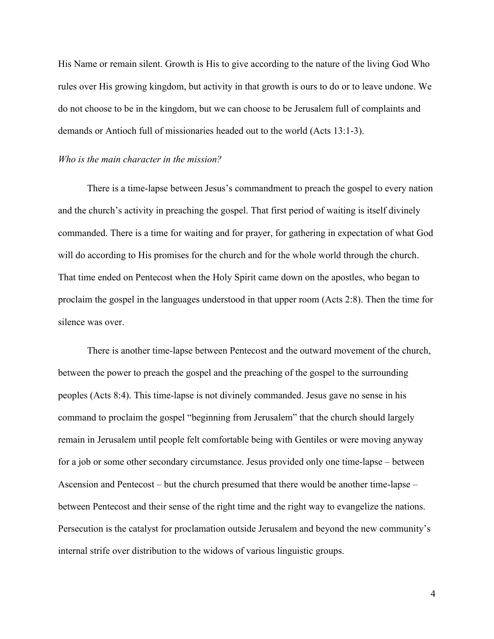His Name or remain silent. Growth is His to give according to the nature of the living God Who rules over His growing kingdom, but activity in that growth is ours to do or to leave undone. We do not choose to be in the kingdom, but we can choose to be Jerusalem full of complaints and demands or Antioch full of missionaries headed out to the world (Acts 13:1-3).

### *Who is the main character in the mission?*

There is a time-lapse between Jesus's commandment to preach the gospel to every nation and the church's activity in preaching the gospel. That first period of waiting is itself divinely commanded. There is a time for waiting and for prayer, for gathering in expectation of what God will do according to His promises for the church and for the whole world through the church. That time ended on Pentecost when the Holy Spirit came down on the apostles, who began to proclaim the gospel in the languages understood in that upper room (Acts 2:8). Then the time for silence was over.

There is another time-lapse between Pentecost and the outward movement of the church, between the power to preach the gospel and the preaching of the gospel to the surrounding peoples (Acts 8:4). This time-lapse is not divinely commanded. Jesus gave no sense in his command to proclaim the gospel "beginning from Jerusalem" that the church should largely remain in Jerusalem until people felt comfortable being with Gentiles or were moving anyway for a job or some other secondary circumstance. Jesus provided only one time-lapse – between Ascension and Pentecost – but the church presumed that there would be another time-lapse – between Pentecost and their sense of the right time and the right way to evangelize the nations. Persecution is the catalyst for proclamation outside Jerusalem and beyond the new community's internal strife over distribution to the widows of various linguistic groups.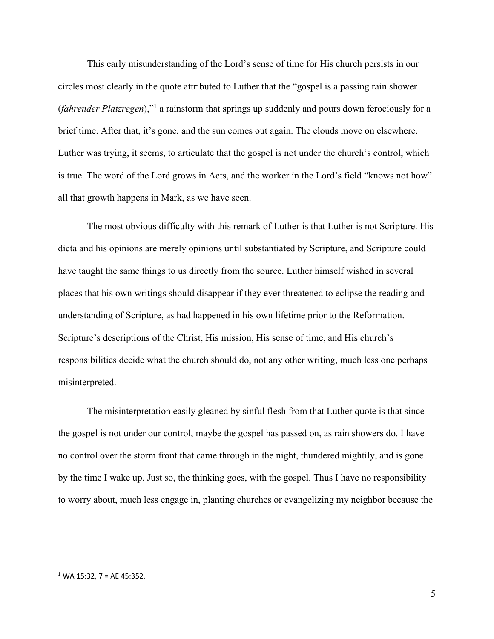This early misunderstanding of the Lord's sense of time for His church persists in our circles most clearly in the quote attributed to Luther that the "gospel is a passing rain shower (*fahrender Platzregen*),"1 a rainstorm that springs up suddenly and pours down ferociously for a brief time. After that, it's gone, and the sun comes out again. The clouds move on elsewhere. Luther was trying, it seems, to articulate that the gospel is not under the church's control, which is true. The word of the Lord grows in Acts, and the worker in the Lord's field "knows not how" all that growth happens in Mark, as we have seen.

The most obvious difficulty with this remark of Luther is that Luther is not Scripture. His dicta and his opinions are merely opinions until substantiated by Scripture, and Scripture could have taught the same things to us directly from the source. Luther himself wished in several places that his own writings should disappear if they ever threatened to eclipse the reading and understanding of Scripture, as had happened in his own lifetime prior to the Reformation. Scripture's descriptions of the Christ, His mission, His sense of time, and His church's responsibilities decide what the church should do, not any other writing, much less one perhaps misinterpreted.

The misinterpretation easily gleaned by sinful flesh from that Luther quote is that since the gospel is not under our control, maybe the gospel has passed on, as rain showers do. I have no control over the storm front that came through in the night, thundered mightily, and is gone by the time I wake up. Just so, the thinking goes, with the gospel. Thus I have no responsibility to worry about, much less engage in, planting churches or evangelizing my neighbor because the

 $1$  WA 15:32, 7 = AE 45:352.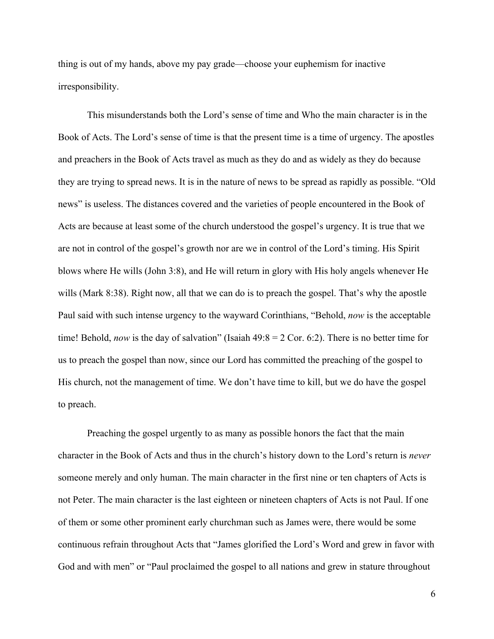thing is out of my hands, above my pay grade—choose your euphemism for inactive irresponsibility.

This misunderstands both the Lord's sense of time and Who the main character is in the Book of Acts. The Lord's sense of time is that the present time is a time of urgency. The apostles and preachers in the Book of Acts travel as much as they do and as widely as they do because they are trying to spread news. It is in the nature of news to be spread as rapidly as possible. "Old news" is useless. The distances covered and the varieties of people encountered in the Book of Acts are because at least some of the church understood the gospel's urgency. It is true that we are not in control of the gospel's growth nor are we in control of the Lord's timing. His Spirit blows where He wills (John 3:8), and He will return in glory with His holy angels whenever He wills (Mark 8:38). Right now, all that we can do is to preach the gospel. That's why the apostle Paul said with such intense urgency to the wayward Corinthians, "Behold, *now* is the acceptable time! Behold, *now* is the day of salvation" (Isaiah 49:8 = 2 Cor. 6:2). There is no better time for us to preach the gospel than now, since our Lord has committed the preaching of the gospel to His church, not the management of time. We don't have time to kill, but we do have the gospel to preach.

Preaching the gospel urgently to as many as possible honors the fact that the main character in the Book of Acts and thus in the church's history down to the Lord's return is *never*  someone merely and only human. The main character in the first nine or ten chapters of Acts is not Peter. The main character is the last eighteen or nineteen chapters of Acts is not Paul. If one of them or some other prominent early churchman such as James were, there would be some continuous refrain throughout Acts that "James glorified the Lord's Word and grew in favor with God and with men" or "Paul proclaimed the gospel to all nations and grew in stature throughout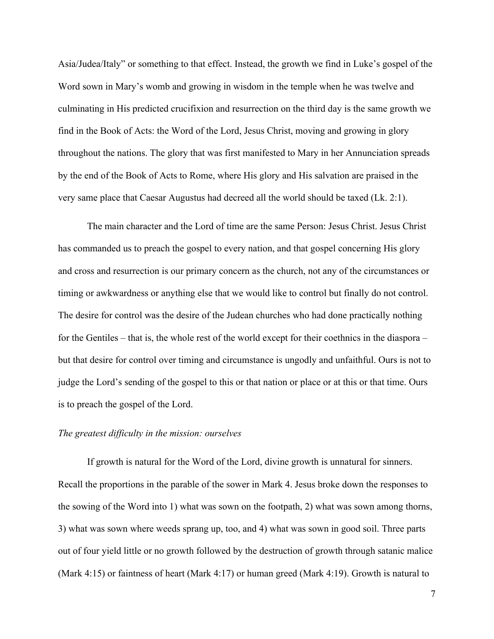Asia/Judea/Italy" or something to that effect. Instead, the growth we find in Luke's gospel of the Word sown in Mary's womb and growing in wisdom in the temple when he was twelve and culminating in His predicted crucifixion and resurrection on the third day is the same growth we find in the Book of Acts: the Word of the Lord, Jesus Christ, moving and growing in glory throughout the nations. The glory that was first manifested to Mary in her Annunciation spreads by the end of the Book of Acts to Rome, where His glory and His salvation are praised in the very same place that Caesar Augustus had decreed all the world should be taxed (Lk. 2:1).

The main character and the Lord of time are the same Person: Jesus Christ. Jesus Christ has commanded us to preach the gospel to every nation, and that gospel concerning His glory and cross and resurrection is our primary concern as the church, not any of the circumstances or timing or awkwardness or anything else that we would like to control but finally do not control. The desire for control was the desire of the Judean churches who had done practically nothing for the Gentiles – that is, the whole rest of the world except for their coethnics in the diaspora – but that desire for control over timing and circumstance is ungodly and unfaithful. Ours is not to judge the Lord's sending of the gospel to this or that nation or place or at this or that time. Ours is to preach the gospel of the Lord.

## *The greatest difficulty in the mission: ourselves*

If growth is natural for the Word of the Lord, divine growth is unnatural for sinners. Recall the proportions in the parable of the sower in Mark 4. Jesus broke down the responses to the sowing of the Word into 1) what was sown on the footpath, 2) what was sown among thorns, 3) what was sown where weeds sprang up, too, and 4) what was sown in good soil. Three parts out of four yield little or no growth followed by the destruction of growth through satanic malice (Mark 4:15) or faintness of heart (Mark 4:17) or human greed (Mark 4:19). Growth is natural to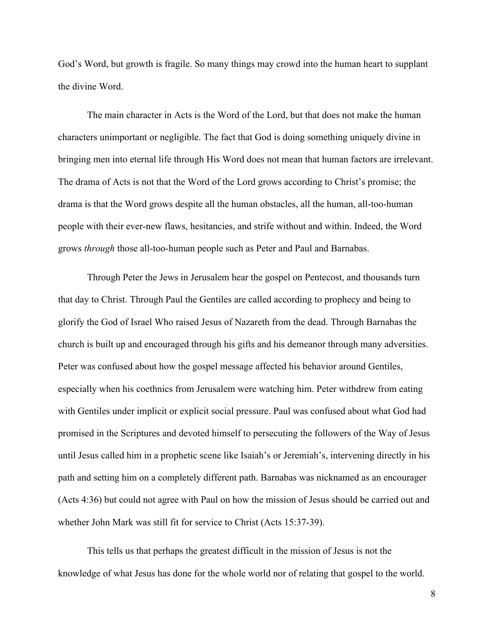God's Word, but growth is fragile. So many things may crowd into the human heart to supplant the divine Word.

The main character in Acts is the Word of the Lord, but that does not make the human characters unimportant or negligible. The fact that God is doing something uniquely divine in bringing men into eternal life through His Word does not mean that human factors are irrelevant. The drama of Acts is not that the Word of the Lord grows according to Christ's promise; the drama is that the Word grows despite all the human obstacles, all the human, all-too-human people with their ever-new flaws, hesitancies, and strife without and within. Indeed, the Word grows *through* those all-too-human people such as Peter and Paul and Barnabas.

Through Peter the Jews in Jerusalem hear the gospel on Pentecost, and thousands turn that day to Christ. Through Paul the Gentiles are called according to prophecy and being to glorify the God of Israel Who raised Jesus of Nazareth from the dead. Through Barnabas the church is built up and encouraged through his gifts and his demeanor through many adversities. Peter was confused about how the gospel message affected his behavior around Gentiles, especially when his coethnics from Jerusalem were watching him. Peter withdrew from eating with Gentiles under implicit or explicit social pressure. Paul was confused about what God had promised in the Scriptures and devoted himself to persecuting the followers of the Way of Jesus until Jesus called him in a prophetic scene like Isaiah's or Jeremiah's, intervening directly in his path and setting him on a completely different path. Barnabas was nicknamed as an encourager (Acts 4:36) but could not agree with Paul on how the mission of Jesus should be carried out and whether John Mark was still fit for service to Christ (Acts 15:37-39).

This tells us that perhaps the greatest difficult in the mission of Jesus is not the knowledge of what Jesus has done for the whole world nor of relating that gospel to the world.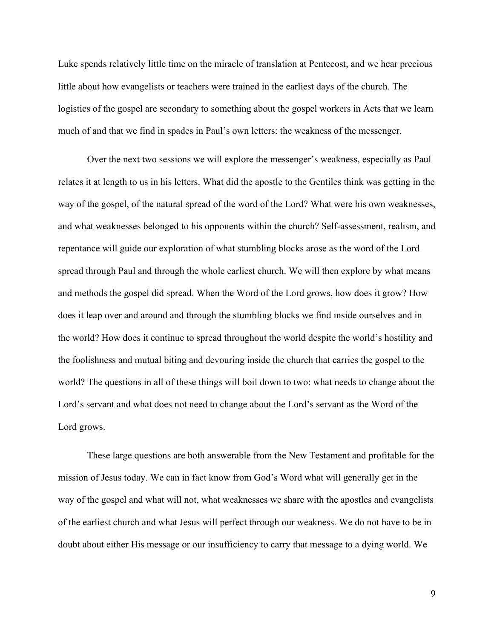Luke spends relatively little time on the miracle of translation at Pentecost, and we hear precious little about how evangelists or teachers were trained in the earliest days of the church. The logistics of the gospel are secondary to something about the gospel workers in Acts that we learn much of and that we find in spades in Paul's own letters: the weakness of the messenger.

Over the next two sessions we will explore the messenger's weakness, especially as Paul relates it at length to us in his letters. What did the apostle to the Gentiles think was getting in the way of the gospel, of the natural spread of the word of the Lord? What were his own weaknesses, and what weaknesses belonged to his opponents within the church? Self-assessment, realism, and repentance will guide our exploration of what stumbling blocks arose as the word of the Lord spread through Paul and through the whole earliest church. We will then explore by what means and methods the gospel did spread. When the Word of the Lord grows, how does it grow? How does it leap over and around and through the stumbling blocks we find inside ourselves and in the world? How does it continue to spread throughout the world despite the world's hostility and the foolishness and mutual biting and devouring inside the church that carries the gospel to the world? The questions in all of these things will boil down to two: what needs to change about the Lord's servant and what does not need to change about the Lord's servant as the Word of the Lord grows.

These large questions are both answerable from the New Testament and profitable for the mission of Jesus today. We can in fact know from God's Word what will generally get in the way of the gospel and what will not, what weaknesses we share with the apostles and evangelists of the earliest church and what Jesus will perfect through our weakness. We do not have to be in doubt about either His message or our insufficiency to carry that message to a dying world. We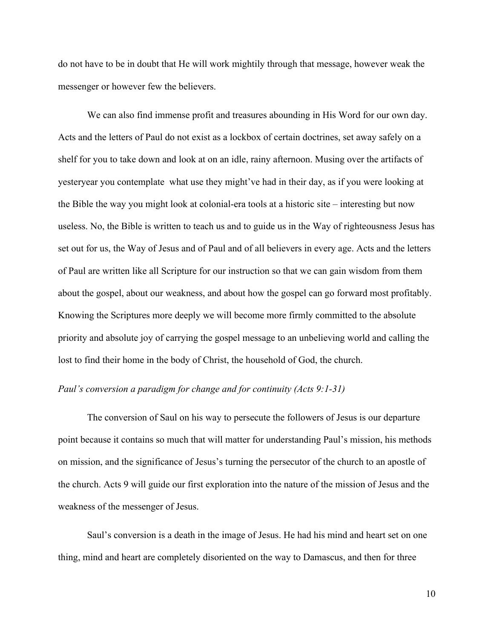do not have to be in doubt that He will work mightily through that message, however weak the messenger or however few the believers.

We can also find immense profit and treasures abounding in His Word for our own day. Acts and the letters of Paul do not exist as a lockbox of certain doctrines, set away safely on a shelf for you to take down and look at on an idle, rainy afternoon. Musing over the artifacts of yesteryear you contemplate what use they might've had in their day, as if you were looking at the Bible the way you might look at colonial-era tools at a historic site – interesting but now useless. No, the Bible is written to teach us and to guide us in the Way of righteousness Jesus has set out for us, the Way of Jesus and of Paul and of all believers in every age. Acts and the letters of Paul are written like all Scripture for our instruction so that we can gain wisdom from them about the gospel, about our weakness, and about how the gospel can go forward most profitably. Knowing the Scriptures more deeply we will become more firmly committed to the absolute priority and absolute joy of carrying the gospel message to an unbelieving world and calling the lost to find their home in the body of Christ, the household of God, the church.

## *Paul's conversion a paradigm for change and for continuity (Acts 9:1-31)*

The conversion of Saul on his way to persecute the followers of Jesus is our departure point because it contains so much that will matter for understanding Paul's mission, his methods on mission, and the significance of Jesus's turning the persecutor of the church to an apostle of the church. Acts 9 will guide our first exploration into the nature of the mission of Jesus and the weakness of the messenger of Jesus.

Saul's conversion is a death in the image of Jesus. He had his mind and heart set on one thing, mind and heart are completely disoriented on the way to Damascus, and then for three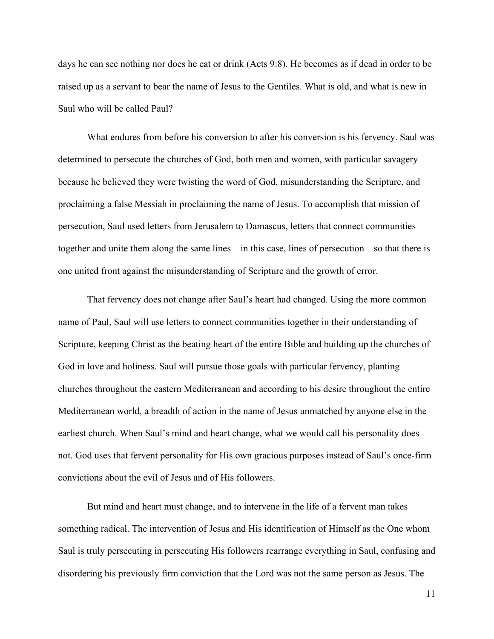days he can see nothing nor does he eat or drink (Acts 9:8). He becomes as if dead in order to be raised up as a servant to bear the name of Jesus to the Gentiles. What is old, and what is new in Saul who will be called Paul?

What endures from before his conversion to after his conversion is his fervency. Saul was determined to persecute the churches of God, both men and women, with particular savagery because he believed they were twisting the word of God, misunderstanding the Scripture, and proclaiming a false Messiah in proclaiming the name of Jesus. To accomplish that mission of persecution, Saul used letters from Jerusalem to Damascus, letters that connect communities together and unite them along the same lines – in this case, lines of persecution – so that there is one united front against the misunderstanding of Scripture and the growth of error.

That fervency does not change after Saul's heart had changed. Using the more common name of Paul, Saul will use letters to connect communities together in their understanding of Scripture, keeping Christ as the beating heart of the entire Bible and building up the churches of God in love and holiness. Saul will pursue those goals with particular fervency, planting churches throughout the eastern Mediterranean and according to his desire throughout the entire Mediterranean world, a breadth of action in the name of Jesus unmatched by anyone else in the earliest church. When Saul's mind and heart change, what we would call his personality does not. God uses that fervent personality for His own gracious purposes instead of Saul's once-firm convictions about the evil of Jesus and of His followers.

But mind and heart must change, and to intervene in the life of a fervent man takes something radical. The intervention of Jesus and His identification of Himself as the One whom Saul is truly persecuting in persecuting His followers rearrange everything in Saul, confusing and disordering his previously firm conviction that the Lord was not the same person as Jesus. The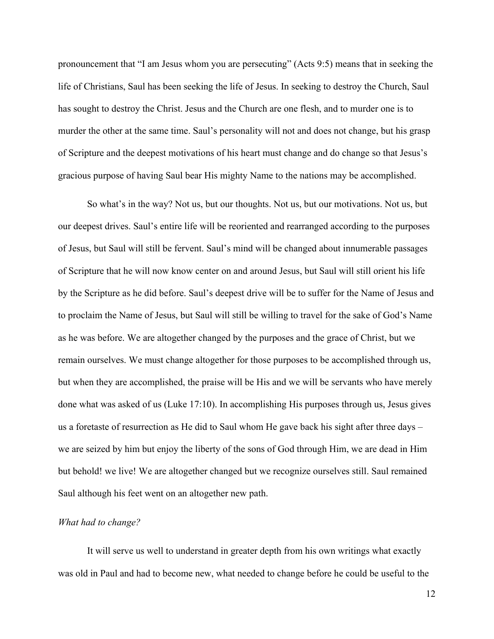pronouncement that "I am Jesus whom you are persecuting" (Acts 9:5) means that in seeking the life of Christians, Saul has been seeking the life of Jesus. In seeking to destroy the Church, Saul has sought to destroy the Christ. Jesus and the Church are one flesh, and to murder one is to murder the other at the same time. Saul's personality will not and does not change, but his grasp of Scripture and the deepest motivations of his heart must change and do change so that Jesus's gracious purpose of having Saul bear His mighty Name to the nations may be accomplished.

So what's in the way? Not us, but our thoughts. Not us, but our motivations. Not us, but our deepest drives. Saul's entire life will be reoriented and rearranged according to the purposes of Jesus, but Saul will still be fervent. Saul's mind will be changed about innumerable passages of Scripture that he will now know center on and around Jesus, but Saul will still orient his life by the Scripture as he did before. Saul's deepest drive will be to suffer for the Name of Jesus and to proclaim the Name of Jesus, but Saul will still be willing to travel for the sake of God's Name as he was before. We are altogether changed by the purposes and the grace of Christ, but we remain ourselves. We must change altogether for those purposes to be accomplished through us, but when they are accomplished, the praise will be His and we will be servants who have merely done what was asked of us (Luke 17:10). In accomplishing His purposes through us, Jesus gives us a foretaste of resurrection as He did to Saul whom He gave back his sight after three days – we are seized by him but enjoy the liberty of the sons of God through Him, we are dead in Him but behold! we live! We are altogether changed but we recognize ourselves still. Saul remained Saul although his feet went on an altogether new path.

#### *What had to change?*

It will serve us well to understand in greater depth from his own writings what exactly was old in Paul and had to become new, what needed to change before he could be useful to the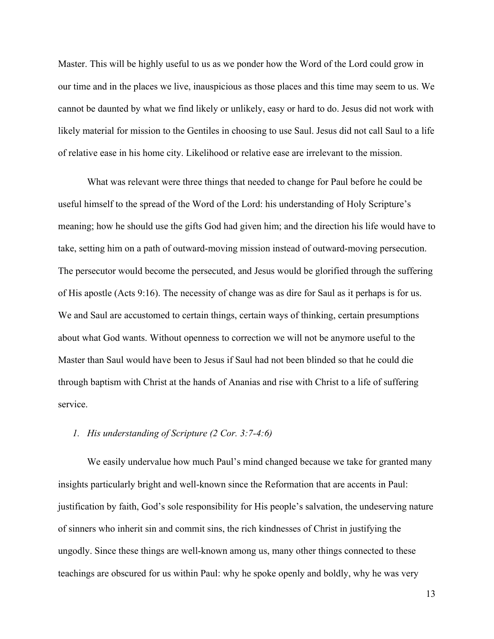Master. This will be highly useful to us as we ponder how the Word of the Lord could grow in our time and in the places we live, inauspicious as those places and this time may seem to us. We cannot be daunted by what we find likely or unlikely, easy or hard to do. Jesus did not work with likely material for mission to the Gentiles in choosing to use Saul. Jesus did not call Saul to a life of relative ease in his home city. Likelihood or relative ease are irrelevant to the mission.

What was relevant were three things that needed to change for Paul before he could be useful himself to the spread of the Word of the Lord: his understanding of Holy Scripture's meaning; how he should use the gifts God had given him; and the direction his life would have to take, setting him on a path of outward-moving mission instead of outward-moving persecution. The persecutor would become the persecuted, and Jesus would be glorified through the suffering of His apostle (Acts 9:16). The necessity of change was as dire for Saul as it perhaps is for us. We and Saul are accustomed to certain things, certain ways of thinking, certain presumptions about what God wants. Without openness to correction we will not be anymore useful to the Master than Saul would have been to Jesus if Saul had not been blinded so that he could die through baptism with Christ at the hands of Ananias and rise with Christ to a life of suffering service.

# *1. His understanding of Scripture (2 Cor. 3:7-4:6)*

We easily undervalue how much Paul's mind changed because we take for granted many insights particularly bright and well-known since the Reformation that are accents in Paul: justification by faith, God's sole responsibility for His people's salvation, the undeserving nature of sinners who inherit sin and commit sins, the rich kindnesses of Christ in justifying the ungodly. Since these things are well-known among us, many other things connected to these teachings are obscured for us within Paul: why he spoke openly and boldly, why he was very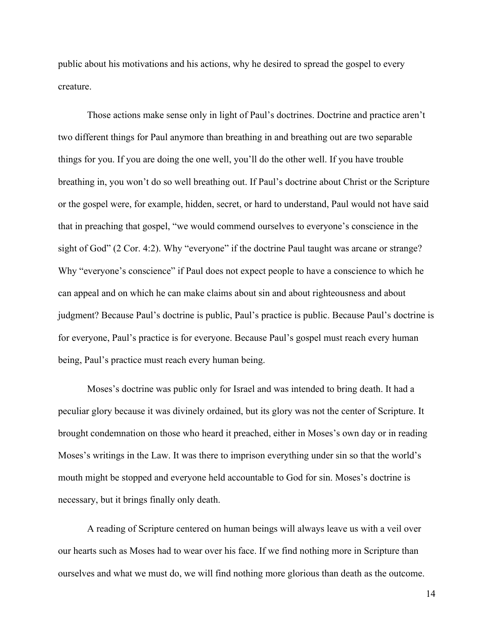public about his motivations and his actions, why he desired to spread the gospel to every creature.

Those actions make sense only in light of Paul's doctrines. Doctrine and practice aren't two different things for Paul anymore than breathing in and breathing out are two separable things for you. If you are doing the one well, you'll do the other well. If you have trouble breathing in, you won't do so well breathing out. If Paul's doctrine about Christ or the Scripture or the gospel were, for example, hidden, secret, or hard to understand, Paul would not have said that in preaching that gospel, "we would commend ourselves to everyone's conscience in the sight of God" (2 Cor. 4:2). Why "everyone" if the doctrine Paul taught was arcane or strange? Why "everyone's conscience" if Paul does not expect people to have a conscience to which he can appeal and on which he can make claims about sin and about righteousness and about judgment? Because Paul's doctrine is public, Paul's practice is public. Because Paul's doctrine is for everyone, Paul's practice is for everyone. Because Paul's gospel must reach every human being, Paul's practice must reach every human being.

Moses's doctrine was public only for Israel and was intended to bring death. It had a peculiar glory because it was divinely ordained, but its glory was not the center of Scripture. It brought condemnation on those who heard it preached, either in Moses's own day or in reading Moses's writings in the Law. It was there to imprison everything under sin so that the world's mouth might be stopped and everyone held accountable to God for sin. Moses's doctrine is necessary, but it brings finally only death.

A reading of Scripture centered on human beings will always leave us with a veil over our hearts such as Moses had to wear over his face. If we find nothing more in Scripture than ourselves and what we must do, we will find nothing more glorious than death as the outcome.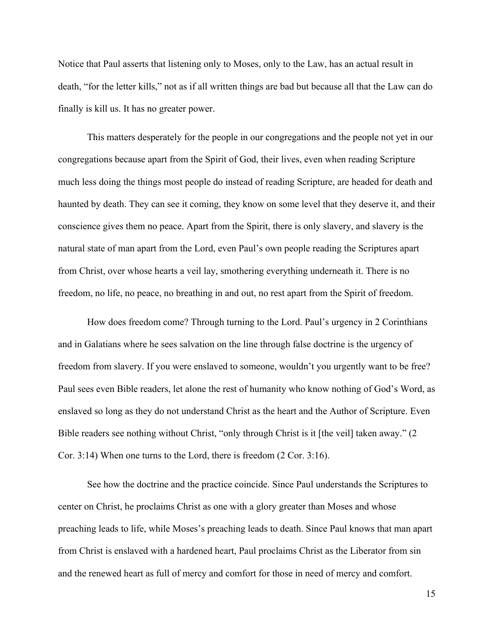Notice that Paul asserts that listening only to Moses, only to the Law, has an actual result in death, "for the letter kills," not as if all written things are bad but because all that the Law can do finally is kill us. It has no greater power.

This matters desperately for the people in our congregations and the people not yet in our congregations because apart from the Spirit of God, their lives, even when reading Scripture much less doing the things most people do instead of reading Scripture, are headed for death and haunted by death. They can see it coming, they know on some level that they deserve it, and their conscience gives them no peace. Apart from the Spirit, there is only slavery, and slavery is the natural state of man apart from the Lord, even Paul's own people reading the Scriptures apart from Christ, over whose hearts a veil lay, smothering everything underneath it. There is no freedom, no life, no peace, no breathing in and out, no rest apart from the Spirit of freedom.

How does freedom come? Through turning to the Lord. Paul's urgency in 2 Corinthians and in Galatians where he sees salvation on the line through false doctrine is the urgency of freedom from slavery. If you were enslaved to someone, wouldn't you urgently want to be free? Paul sees even Bible readers, let alone the rest of humanity who know nothing of God's Word, as enslaved so long as they do not understand Christ as the heart and the Author of Scripture. Even Bible readers see nothing without Christ, "only through Christ is it [the veil] taken away." (2 Cor. 3:14) When one turns to the Lord, there is freedom (2 Cor. 3:16).

See how the doctrine and the practice coincide. Since Paul understands the Scriptures to center on Christ, he proclaims Christ as one with a glory greater than Moses and whose preaching leads to life, while Moses's preaching leads to death. Since Paul knows that man apart from Christ is enslaved with a hardened heart, Paul proclaims Christ as the Liberator from sin and the renewed heart as full of mercy and comfort for those in need of mercy and comfort.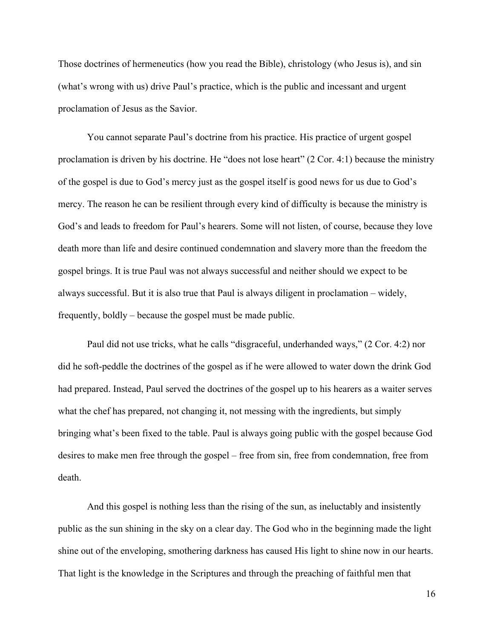Those doctrines of hermeneutics (how you read the Bible), christology (who Jesus is), and sin (what's wrong with us) drive Paul's practice, which is the public and incessant and urgent proclamation of Jesus as the Savior.

You cannot separate Paul's doctrine from his practice. His practice of urgent gospel proclamation is driven by his doctrine. He "does not lose heart" (2 Cor. 4:1) because the ministry of the gospel is due to God's mercy just as the gospel itself is good news for us due to God's mercy. The reason he can be resilient through every kind of difficulty is because the ministry is God's and leads to freedom for Paul's hearers. Some will not listen, of course, because they love death more than life and desire continued condemnation and slavery more than the freedom the gospel brings. It is true Paul was not always successful and neither should we expect to be always successful. But it is also true that Paul is always diligent in proclamation – widely, frequently, boldly – because the gospel must be made public.

Paul did not use tricks, what he calls "disgraceful, underhanded ways," (2 Cor. 4:2) nor did he soft-peddle the doctrines of the gospel as if he were allowed to water down the drink God had prepared. Instead, Paul served the doctrines of the gospel up to his hearers as a waiter serves what the chef has prepared, not changing it, not messing with the ingredients, but simply bringing what's been fixed to the table. Paul is always going public with the gospel because God desires to make men free through the gospel – free from sin, free from condemnation, free from death.

And this gospel is nothing less than the rising of the sun, as ineluctably and insistently public as the sun shining in the sky on a clear day. The God who in the beginning made the light shine out of the enveloping, smothering darkness has caused His light to shine now in our hearts. That light is the knowledge in the Scriptures and through the preaching of faithful men that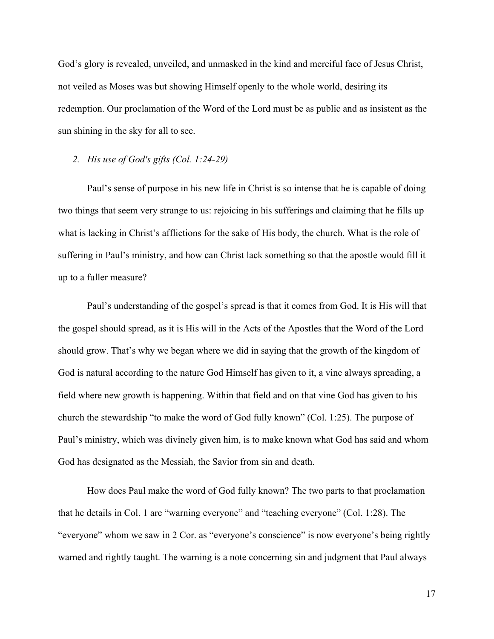God's glory is revealed, unveiled, and unmasked in the kind and merciful face of Jesus Christ, not veiled as Moses was but showing Himself openly to the whole world, desiring its redemption. Our proclamation of the Word of the Lord must be as public and as insistent as the sun shining in the sky for all to see.

### *2. His use of God's gifts (Col. 1:24-29)*

Paul's sense of purpose in his new life in Christ is so intense that he is capable of doing two things that seem very strange to us: rejoicing in his sufferings and claiming that he fills up what is lacking in Christ's afflictions for the sake of His body, the church. What is the role of suffering in Paul's ministry, and how can Christ lack something so that the apostle would fill it up to a fuller measure?

Paul's understanding of the gospel's spread is that it comes from God. It is His will that the gospel should spread, as it is His will in the Acts of the Apostles that the Word of the Lord should grow. That's why we began where we did in saying that the growth of the kingdom of God is natural according to the nature God Himself has given to it, a vine always spreading, a field where new growth is happening. Within that field and on that vine God has given to his church the stewardship "to make the word of God fully known" (Col. 1:25). The purpose of Paul's ministry, which was divinely given him, is to make known what God has said and whom God has designated as the Messiah, the Savior from sin and death.

How does Paul make the word of God fully known? The two parts to that proclamation that he details in Col. 1 are "warning everyone" and "teaching everyone" (Col. 1:28). The "everyone" whom we saw in 2 Cor. as "everyone's conscience" is now everyone's being rightly warned and rightly taught. The warning is a note concerning sin and judgment that Paul always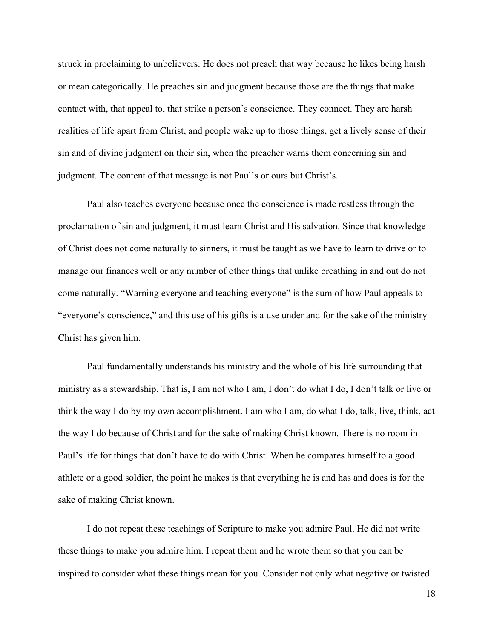struck in proclaiming to unbelievers. He does not preach that way because he likes being harsh or mean categorically. He preaches sin and judgment because those are the things that make contact with, that appeal to, that strike a person's conscience. They connect. They are harsh realities of life apart from Christ, and people wake up to those things, get a lively sense of their sin and of divine judgment on their sin, when the preacher warns them concerning sin and judgment. The content of that message is not Paul's or ours but Christ's.

Paul also teaches everyone because once the conscience is made restless through the proclamation of sin and judgment, it must learn Christ and His salvation. Since that knowledge of Christ does not come naturally to sinners, it must be taught as we have to learn to drive or to manage our finances well or any number of other things that unlike breathing in and out do not come naturally. "Warning everyone and teaching everyone" is the sum of how Paul appeals to "everyone's conscience," and this use of his gifts is a use under and for the sake of the ministry Christ has given him.

Paul fundamentally understands his ministry and the whole of his life surrounding that ministry as a stewardship. That is, I am not who I am, I don't do what I do, I don't talk or live or think the way I do by my own accomplishment. I am who I am, do what I do, talk, live, think, act the way I do because of Christ and for the sake of making Christ known. There is no room in Paul's life for things that don't have to do with Christ. When he compares himself to a good athlete or a good soldier, the point he makes is that everything he is and has and does is for the sake of making Christ known.

I do not repeat these teachings of Scripture to make you admire Paul. He did not write these things to make you admire him. I repeat them and he wrote them so that you can be inspired to consider what these things mean for you. Consider not only what negative or twisted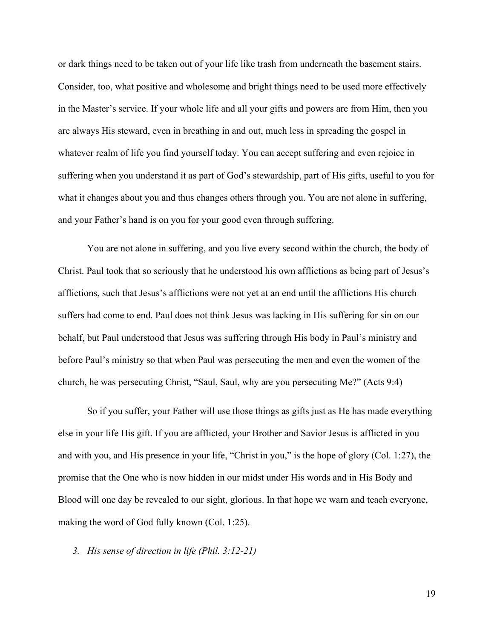or dark things need to be taken out of your life like trash from underneath the basement stairs. Consider, too, what positive and wholesome and bright things need to be used more effectively in the Master's service. If your whole life and all your gifts and powers are from Him, then you are always His steward, even in breathing in and out, much less in spreading the gospel in whatever realm of life you find yourself today. You can accept suffering and even rejoice in suffering when you understand it as part of God's stewardship, part of His gifts, useful to you for what it changes about you and thus changes others through you. You are not alone in suffering, and your Father's hand is on you for your good even through suffering.

You are not alone in suffering, and you live every second within the church, the body of Christ. Paul took that so seriously that he understood his own afflictions as being part of Jesus's afflictions, such that Jesus's afflictions were not yet at an end until the afflictions His church suffers had come to end. Paul does not think Jesus was lacking in His suffering for sin on our behalf, but Paul understood that Jesus was suffering through His body in Paul's ministry and before Paul's ministry so that when Paul was persecuting the men and even the women of the church, he was persecuting Christ, "Saul, Saul, why are you persecuting Me?" (Acts 9:4)

So if you suffer, your Father will use those things as gifts just as He has made everything else in your life His gift. If you are afflicted, your Brother and Savior Jesus is afflicted in you and with you, and His presence in your life, "Christ in you," is the hope of glory (Col. 1:27), the promise that the One who is now hidden in our midst under His words and in His Body and Blood will one day be revealed to our sight, glorious. In that hope we warn and teach everyone, making the word of God fully known (Col. 1:25).

### *3. His sense of direction in life (Phil. 3:12-21)*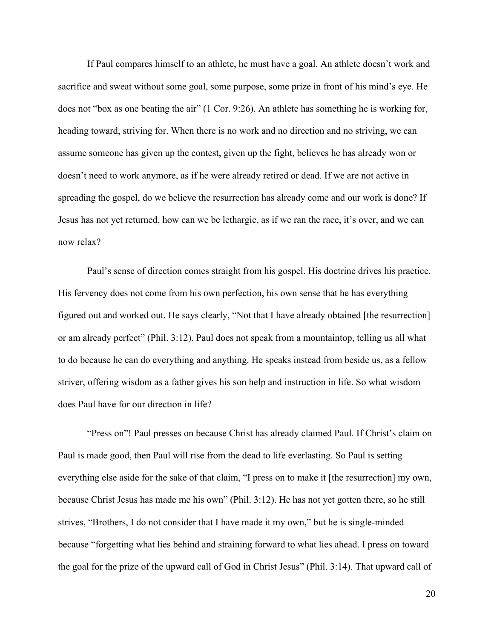If Paul compares himself to an athlete, he must have a goal. An athlete doesn't work and sacrifice and sweat without some goal, some purpose, some prize in front of his mind's eye. He does not "box as one beating the air" (1 Cor. 9:26). An athlete has something he is working for, heading toward, striving for. When there is no work and no direction and no striving, we can assume someone has given up the contest, given up the fight, believes he has already won or doesn't need to work anymore, as if he were already retired or dead. If we are not active in spreading the gospel, do we believe the resurrection has already come and our work is done? If Jesus has not yet returned, how can we be lethargic, as if we ran the race, it's over, and we can now relax?

Paul's sense of direction comes straight from his gospel. His doctrine drives his practice. His fervency does not come from his own perfection, his own sense that he has everything figured out and worked out. He says clearly, "Not that I have already obtained [the resurrection] or am already perfect" (Phil. 3:12). Paul does not speak from a mountaintop, telling us all what to do because he can do everything and anything. He speaks instead from beside us, as a fellow striver, offering wisdom as a father gives his son help and instruction in life. So what wisdom does Paul have for our direction in life?

"Press on"! Paul presses on because Christ has already claimed Paul. If Christ's claim on Paul is made good, then Paul will rise from the dead to life everlasting. So Paul is setting everything else aside for the sake of that claim, "I press on to make it [the resurrection] my own, because Christ Jesus has made me his own" (Phil. 3:12). He has not yet gotten there, so he still strives, "Brothers, I do not consider that I have made it my own," but he is single-minded because "forgetting what lies behind and straining forward to what lies ahead. I press on toward the goal for the prize of the upward call of God in Christ Jesus" (Phil. 3:14). That upward call of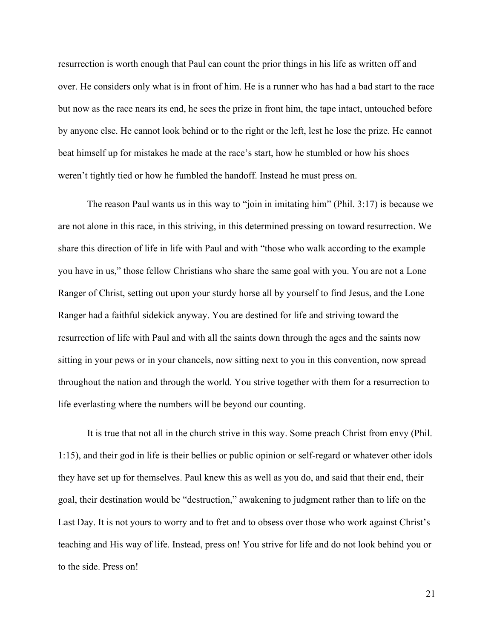resurrection is worth enough that Paul can count the prior things in his life as written off and over. He considers only what is in front of him. He is a runner who has had a bad start to the race but now as the race nears its end, he sees the prize in front him, the tape intact, untouched before by anyone else. He cannot look behind or to the right or the left, lest he lose the prize. He cannot beat himself up for mistakes he made at the race's start, how he stumbled or how his shoes weren't tightly tied or how he fumbled the handoff. Instead he must press on.

The reason Paul wants us in this way to "join in imitating him" (Phil. 3:17) is because we are not alone in this race, in this striving, in this determined pressing on toward resurrection. We share this direction of life in life with Paul and with "those who walk according to the example you have in us," those fellow Christians who share the same goal with you. You are not a Lone Ranger of Christ, setting out upon your sturdy horse all by yourself to find Jesus, and the Lone Ranger had a faithful sidekick anyway. You are destined for life and striving toward the resurrection of life with Paul and with all the saints down through the ages and the saints now sitting in your pews or in your chancels, now sitting next to you in this convention, now spread throughout the nation and through the world. You strive together with them for a resurrection to life everlasting where the numbers will be beyond our counting.

It is true that not all in the church strive in this way. Some preach Christ from envy (Phil. 1:15), and their god in life is their bellies or public opinion or self-regard or whatever other idols they have set up for themselves. Paul knew this as well as you do, and said that their end, their goal, their destination would be "destruction," awakening to judgment rather than to life on the Last Day. It is not yours to worry and to fret and to obsess over those who work against Christ's teaching and His way of life. Instead, press on! You strive for life and do not look behind you or to the side. Press on!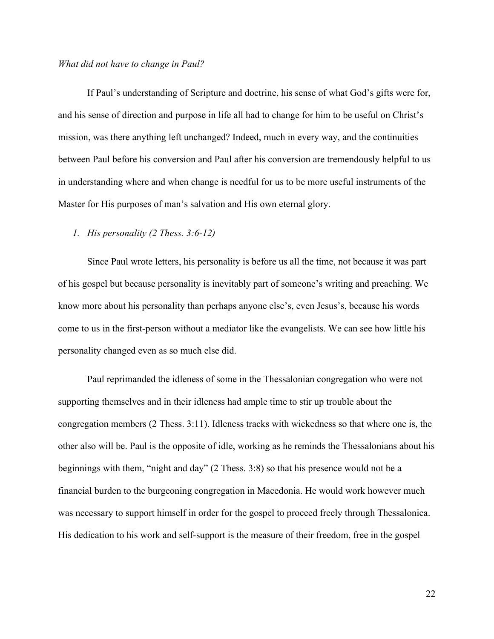#### *What did not have to change in Paul?*

If Paul's understanding of Scripture and doctrine, his sense of what God's gifts were for, and his sense of direction and purpose in life all had to change for him to be useful on Christ's mission, was there anything left unchanged? Indeed, much in every way, and the continuities between Paul before his conversion and Paul after his conversion are tremendously helpful to us in understanding where and when change is needful for us to be more useful instruments of the Master for His purposes of man's salvation and His own eternal glory.

## *1. His personality (2 Thess. 3:6-12)*

Since Paul wrote letters, his personality is before us all the time, not because it was part of his gospel but because personality is inevitably part of someone's writing and preaching. We know more about his personality than perhaps anyone else's, even Jesus's, because his words come to us in the first-person without a mediator like the evangelists. We can see how little his personality changed even as so much else did.

Paul reprimanded the idleness of some in the Thessalonian congregation who were not supporting themselves and in their idleness had ample time to stir up trouble about the congregation members (2 Thess. 3:11). Idleness tracks with wickedness so that where one is, the other also will be. Paul is the opposite of idle, working as he reminds the Thessalonians about his beginnings with them, "night and day" (2 Thess. 3:8) so that his presence would not be a financial burden to the burgeoning congregation in Macedonia. He would work however much was necessary to support himself in order for the gospel to proceed freely through Thessalonica. His dedication to his work and self-support is the measure of their freedom, free in the gospel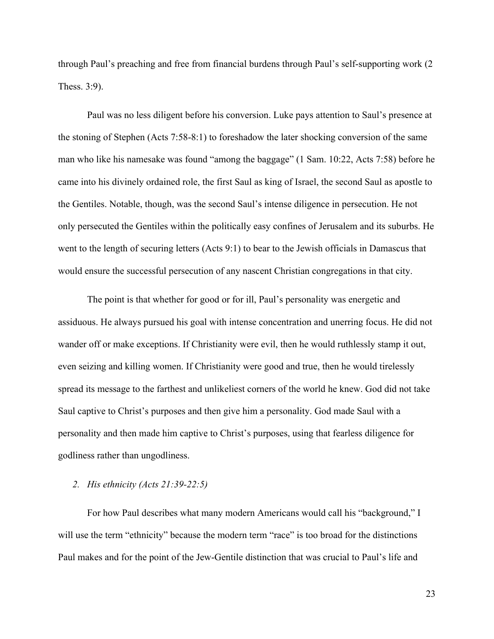through Paul's preaching and free from financial burdens through Paul's self-supporting work (2 Thess. 3:9).

Paul was no less diligent before his conversion. Luke pays attention to Saul's presence at the stoning of Stephen (Acts 7:58-8:1) to foreshadow the later shocking conversion of the same man who like his namesake was found "among the baggage" (1 Sam. 10:22, Acts 7:58) before he came into his divinely ordained role, the first Saul as king of Israel, the second Saul as apostle to the Gentiles. Notable, though, was the second Saul's intense diligence in persecution. He not only persecuted the Gentiles within the politically easy confines of Jerusalem and its suburbs. He went to the length of securing letters (Acts 9:1) to bear to the Jewish officials in Damascus that would ensure the successful persecution of any nascent Christian congregations in that city.

The point is that whether for good or for ill, Paul's personality was energetic and assiduous. He always pursued his goal with intense concentration and unerring focus. He did not wander off or make exceptions. If Christianity were evil, then he would ruthlessly stamp it out, even seizing and killing women. If Christianity were good and true, then he would tirelessly spread its message to the farthest and unlikeliest corners of the world he knew. God did not take Saul captive to Christ's purposes and then give him a personality. God made Saul with a personality and then made him captive to Christ's purposes, using that fearless diligence for godliness rather than ungodliness.

## *2. His ethnicity (Acts 21:39-22:5)*

For how Paul describes what many modern Americans would call his "background," I will use the term "ethnicity" because the modern term "race" is too broad for the distinctions Paul makes and for the point of the Jew-Gentile distinction that was crucial to Paul's life and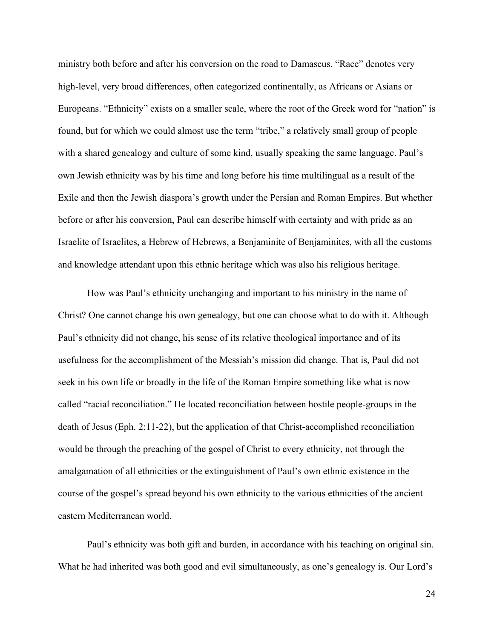ministry both before and after his conversion on the road to Damascus. "Race" denotes very high-level, very broad differences, often categorized continentally, as Africans or Asians or Europeans. "Ethnicity" exists on a smaller scale, where the root of the Greek word for "nation" is found, but for which we could almost use the term "tribe," a relatively small group of people with a shared genealogy and culture of some kind, usually speaking the same language. Paul's own Jewish ethnicity was by his time and long before his time multilingual as a result of the Exile and then the Jewish diaspora's growth under the Persian and Roman Empires. But whether before or after his conversion, Paul can describe himself with certainty and with pride as an Israelite of Israelites, a Hebrew of Hebrews, a Benjaminite of Benjaminites, with all the customs and knowledge attendant upon this ethnic heritage which was also his religious heritage.

How was Paul's ethnicity unchanging and important to his ministry in the name of Christ? One cannot change his own genealogy, but one can choose what to do with it. Although Paul's ethnicity did not change, his sense of its relative theological importance and of its usefulness for the accomplishment of the Messiah's mission did change. That is, Paul did not seek in his own life or broadly in the life of the Roman Empire something like what is now called "racial reconciliation." He located reconciliation between hostile people-groups in the death of Jesus (Eph. 2:11-22), but the application of that Christ-accomplished reconciliation would be through the preaching of the gospel of Christ to every ethnicity, not through the amalgamation of all ethnicities or the extinguishment of Paul's own ethnic existence in the course of the gospel's spread beyond his own ethnicity to the various ethnicities of the ancient eastern Mediterranean world.

Paul's ethnicity was both gift and burden, in accordance with his teaching on original sin. What he had inherited was both good and evil simultaneously, as one's genealogy is. Our Lord's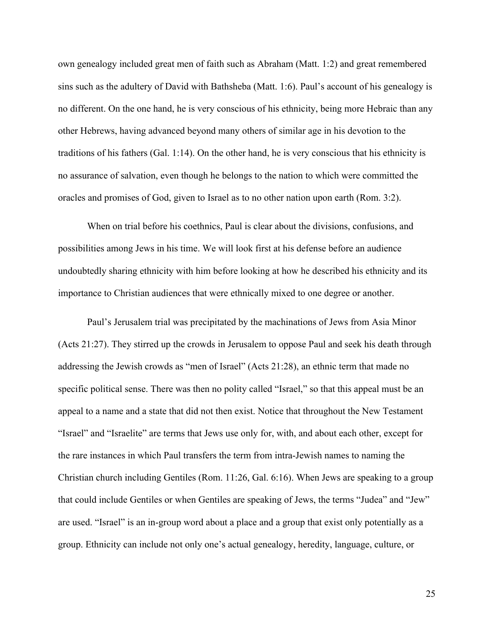own genealogy included great men of faith such as Abraham (Matt. 1:2) and great remembered sins such as the adultery of David with Bathsheba (Matt. 1:6). Paul's account of his genealogy is no different. On the one hand, he is very conscious of his ethnicity, being more Hebraic than any other Hebrews, having advanced beyond many others of similar age in his devotion to the traditions of his fathers (Gal. 1:14). On the other hand, he is very conscious that his ethnicity is no assurance of salvation, even though he belongs to the nation to which were committed the oracles and promises of God, given to Israel as to no other nation upon earth (Rom. 3:2).

When on trial before his coethnics, Paul is clear about the divisions, confusions, and possibilities among Jews in his time. We will look first at his defense before an audience undoubtedly sharing ethnicity with him before looking at how he described his ethnicity and its importance to Christian audiences that were ethnically mixed to one degree or another.

Paul's Jerusalem trial was precipitated by the machinations of Jews from Asia Minor (Acts 21:27). They stirred up the crowds in Jerusalem to oppose Paul and seek his death through addressing the Jewish crowds as "men of Israel" (Acts 21:28), an ethnic term that made no specific political sense. There was then no polity called "Israel," so that this appeal must be an appeal to a name and a state that did not then exist. Notice that throughout the New Testament "Israel" and "Israelite" are terms that Jews use only for, with, and about each other, except for the rare instances in which Paul transfers the term from intra-Jewish names to naming the Christian church including Gentiles (Rom. 11:26, Gal. 6:16). When Jews are speaking to a group that could include Gentiles or when Gentiles are speaking of Jews, the terms "Judea" and "Jew" are used. "Israel" is an in-group word about a place and a group that exist only potentially as a group. Ethnicity can include not only one's actual genealogy, heredity, language, culture, or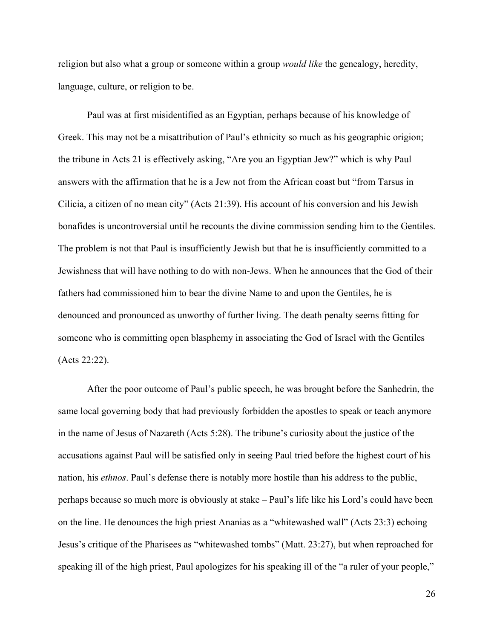religion but also what a group or someone within a group *would like* the genealogy, heredity, language, culture, or religion to be.

Paul was at first misidentified as an Egyptian, perhaps because of his knowledge of Greek. This may not be a misattribution of Paul's ethnicity so much as his geographic origion; the tribune in Acts 21 is effectively asking, "Are you an Egyptian Jew?" which is why Paul answers with the affirmation that he is a Jew not from the African coast but "from Tarsus in Cilicia, a citizen of no mean city" (Acts 21:39). His account of his conversion and his Jewish bonafides is uncontroversial until he recounts the divine commission sending him to the Gentiles. The problem is not that Paul is insufficiently Jewish but that he is insufficiently committed to a Jewishness that will have nothing to do with non-Jews. When he announces that the God of their fathers had commissioned him to bear the divine Name to and upon the Gentiles, he is denounced and pronounced as unworthy of further living. The death penalty seems fitting for someone who is committing open blasphemy in associating the God of Israel with the Gentiles (Acts 22:22).

After the poor outcome of Paul's public speech, he was brought before the Sanhedrin, the same local governing body that had previously forbidden the apostles to speak or teach anymore in the name of Jesus of Nazareth (Acts 5:28). The tribune's curiosity about the justice of the accusations against Paul will be satisfied only in seeing Paul tried before the highest court of his nation, his *ethnos*. Paul's defense there is notably more hostile than his address to the public, perhaps because so much more is obviously at stake – Paul's life like his Lord's could have been on the line. He denounces the high priest Ananias as a "whitewashed wall" (Acts 23:3) echoing Jesus's critique of the Pharisees as "whitewashed tombs" (Matt. 23:27), but when reproached for speaking ill of the high priest, Paul apologizes for his speaking ill of the "a ruler of your people,"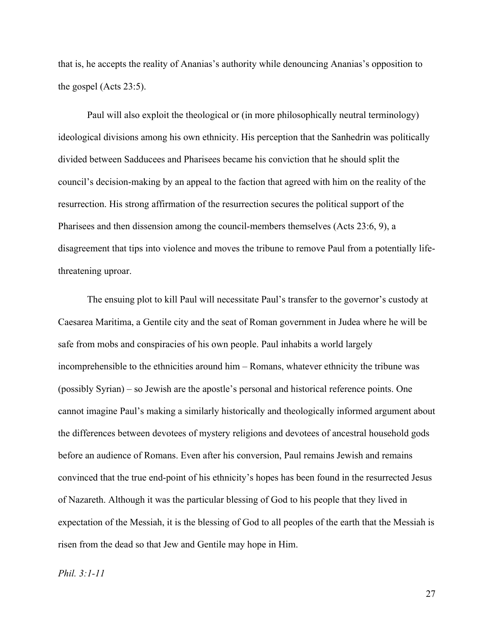that is, he accepts the reality of Ananias's authority while denouncing Ananias's opposition to the gospel (Acts 23:5).

Paul will also exploit the theological or (in more philosophically neutral terminology) ideological divisions among his own ethnicity. His perception that the Sanhedrin was politically divided between Sadducees and Pharisees became his conviction that he should split the council's decision-making by an appeal to the faction that agreed with him on the reality of the resurrection. His strong affirmation of the resurrection secures the political support of the Pharisees and then dissension among the council-members themselves (Acts 23:6, 9), a disagreement that tips into violence and moves the tribune to remove Paul from a potentially lifethreatening uproar.

The ensuing plot to kill Paul will necessitate Paul's transfer to the governor's custody at Caesarea Maritima, a Gentile city and the seat of Roman government in Judea where he will be safe from mobs and conspiracies of his own people. Paul inhabits a world largely incomprehensible to the ethnicities around him – Romans, whatever ethnicity the tribune was (possibly Syrian) – so Jewish are the apostle's personal and historical reference points. One cannot imagine Paul's making a similarly historically and theologically informed argument about the differences between devotees of mystery religions and devotees of ancestral household gods before an audience of Romans. Even after his conversion, Paul remains Jewish and remains convinced that the true end-point of his ethnicity's hopes has been found in the resurrected Jesus of Nazareth. Although it was the particular blessing of God to his people that they lived in expectation of the Messiah, it is the blessing of God to all peoples of the earth that the Messiah is risen from the dead so that Jew and Gentile may hope in Him.

*Phil. 3:1-11*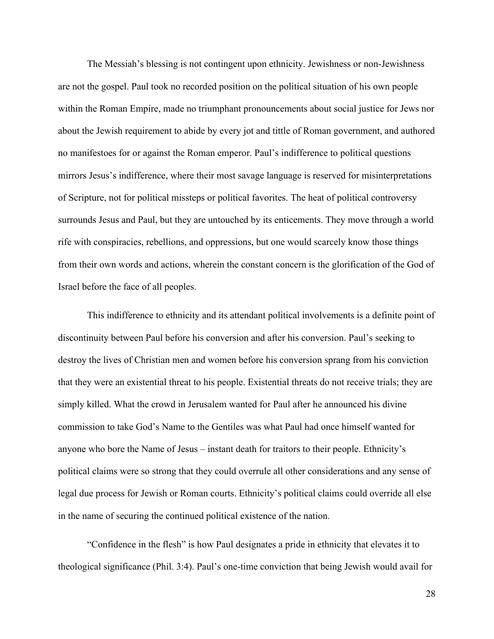The Messiah's blessing is not contingent upon ethnicity. Jewishness or non-Jewishness are not the gospel. Paul took no recorded position on the political situation of his own people within the Roman Empire, made no triumphant pronouncements about social justice for Jews nor about the Jewish requirement to abide by every jot and tittle of Roman government, and authored no manifestoes for or against the Roman emperor. Paul's indifference to political questions mirrors Jesus's indifference, where their most savage language is reserved for misinterpretations of Scripture, not for political missteps or political favorites. The heat of political controversy surrounds Jesus and Paul, but they are untouched by its enticements. They move through a world rife with conspiracies, rebellions, and oppressions, but one would scarcely know those things from their own words and actions, wherein the constant concern is the glorification of the God of Israel before the face of all peoples.

This indifference to ethnicity and its attendant political involvements is a definite point of discontinuity between Paul before his conversion and after his conversion. Paul's seeking to destroy the lives of Christian men and women before his conversion sprang from his conviction that they were an existential threat to his people. Existential threats do not receive trials; they are simply killed. What the crowd in Jerusalem wanted for Paul after he announced his divine commission to take God's Name to the Gentiles was what Paul had once himself wanted for anyone who bore the Name of Jesus – instant death for traitors to their people. Ethnicity's political claims were so strong that they could overrule all other considerations and any sense of legal due process for Jewish or Roman courts. Ethnicity's political claims could override all else in the name of securing the continued political existence of the nation.

"Confidence in the flesh" is how Paul designates a pride in ethnicity that elevates it to theological significance (Phil. 3:4). Paul's one-time conviction that being Jewish would avail for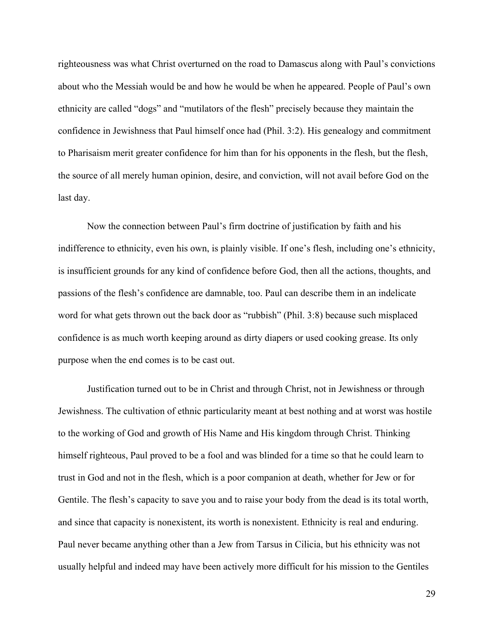righteousness was what Christ overturned on the road to Damascus along with Paul's convictions about who the Messiah would be and how he would be when he appeared. People of Paul's own ethnicity are called "dogs" and "mutilators of the flesh" precisely because they maintain the confidence in Jewishness that Paul himself once had (Phil. 3:2). His genealogy and commitment to Pharisaism merit greater confidence for him than for his opponents in the flesh, but the flesh, the source of all merely human opinion, desire, and conviction, will not avail before God on the last day.

Now the connection between Paul's firm doctrine of justification by faith and his indifference to ethnicity, even his own, is plainly visible. If one's flesh, including one's ethnicity, is insufficient grounds for any kind of confidence before God, then all the actions, thoughts, and passions of the flesh's confidence are damnable, too. Paul can describe them in an indelicate word for what gets thrown out the back door as "rubbish" (Phil. 3:8) because such misplaced confidence is as much worth keeping around as dirty diapers or used cooking grease. Its only purpose when the end comes is to be cast out.

Justification turned out to be in Christ and through Christ, not in Jewishness or through Jewishness. The cultivation of ethnic particularity meant at best nothing and at worst was hostile to the working of God and growth of His Name and His kingdom through Christ. Thinking himself righteous, Paul proved to be a fool and was blinded for a time so that he could learn to trust in God and not in the flesh, which is a poor companion at death, whether for Jew or for Gentile. The flesh's capacity to save you and to raise your body from the dead is its total worth, and since that capacity is nonexistent, its worth is nonexistent. Ethnicity is real and enduring. Paul never became anything other than a Jew from Tarsus in Cilicia, but his ethnicity was not usually helpful and indeed may have been actively more difficult for his mission to the Gentiles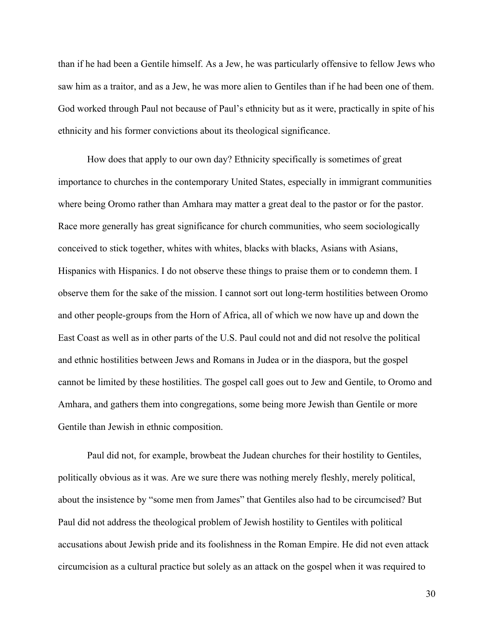than if he had been a Gentile himself. As a Jew, he was particularly offensive to fellow Jews who saw him as a traitor, and as a Jew, he was more alien to Gentiles than if he had been one of them. God worked through Paul not because of Paul's ethnicity but as it were, practically in spite of his ethnicity and his former convictions about its theological significance.

How does that apply to our own day? Ethnicity specifically is sometimes of great importance to churches in the contemporary United States, especially in immigrant communities where being Oromo rather than Amhara may matter a great deal to the pastor or for the pastor. Race more generally has great significance for church communities, who seem sociologically conceived to stick together, whites with whites, blacks with blacks, Asians with Asians, Hispanics with Hispanics. I do not observe these things to praise them or to condemn them. I observe them for the sake of the mission. I cannot sort out long-term hostilities between Oromo and other people-groups from the Horn of Africa, all of which we now have up and down the East Coast as well as in other parts of the U.S. Paul could not and did not resolve the political and ethnic hostilities between Jews and Romans in Judea or in the diaspora, but the gospel cannot be limited by these hostilities. The gospel call goes out to Jew and Gentile, to Oromo and Amhara, and gathers them into congregations, some being more Jewish than Gentile or more Gentile than Jewish in ethnic composition.

Paul did not, for example, browbeat the Judean churches for their hostility to Gentiles, politically obvious as it was. Are we sure there was nothing merely fleshly, merely political, about the insistence by "some men from James" that Gentiles also had to be circumcised? But Paul did not address the theological problem of Jewish hostility to Gentiles with political accusations about Jewish pride and its foolishness in the Roman Empire. He did not even attack circumcision as a cultural practice but solely as an attack on the gospel when it was required to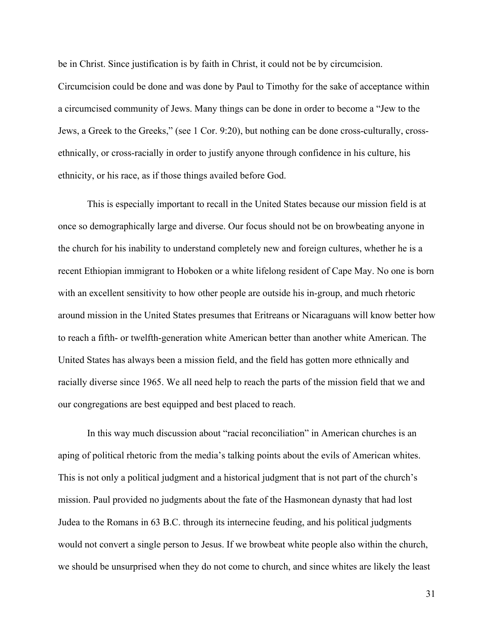be in Christ. Since justification is by faith in Christ, it could not be by circumcision.

Circumcision could be done and was done by Paul to Timothy for the sake of acceptance within a circumcised community of Jews. Many things can be done in order to become a "Jew to the Jews, a Greek to the Greeks," (see 1 Cor. 9:20), but nothing can be done cross-culturally, crossethnically, or cross-racially in order to justify anyone through confidence in his culture, his ethnicity, or his race, as if those things availed before God.

This is especially important to recall in the United States because our mission field is at once so demographically large and diverse. Our focus should not be on browbeating anyone in the church for his inability to understand completely new and foreign cultures, whether he is a recent Ethiopian immigrant to Hoboken or a white lifelong resident of Cape May. No one is born with an excellent sensitivity to how other people are outside his in-group, and much rhetoric around mission in the United States presumes that Eritreans or Nicaraguans will know better how to reach a fifth- or twelfth-generation white American better than another white American. The United States has always been a mission field, and the field has gotten more ethnically and racially diverse since 1965. We all need help to reach the parts of the mission field that we and our congregations are best equipped and best placed to reach.

In this way much discussion about "racial reconciliation" in American churches is an aping of political rhetoric from the media's talking points about the evils of American whites. This is not only a political judgment and a historical judgment that is not part of the church's mission. Paul provided no judgments about the fate of the Hasmonean dynasty that had lost Judea to the Romans in 63 B.C. through its internecine feuding, and his political judgments would not convert a single person to Jesus. If we browbeat white people also within the church, we should be unsurprised when they do not come to church, and since whites are likely the least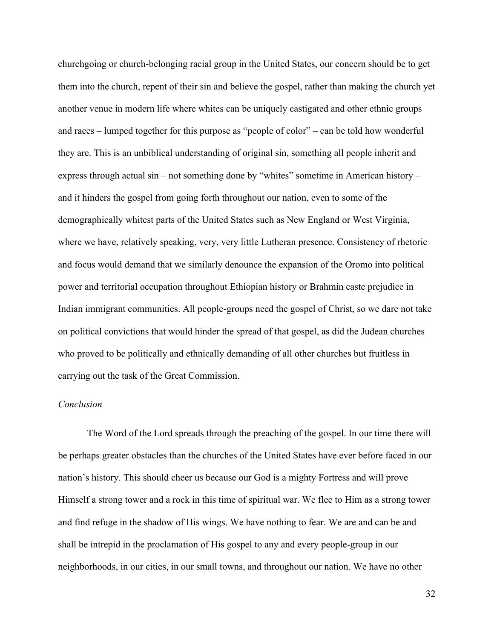churchgoing or church-belonging racial group in the United States, our concern should be to get them into the church, repent of their sin and believe the gospel, rather than making the church yet another venue in modern life where whites can be uniquely castigated and other ethnic groups and races – lumped together for this purpose as "people of color" – can be told how wonderful they are. This is an unbiblical understanding of original sin, something all people inherit and express through actual sin – not something done by "whites" sometime in American history – and it hinders the gospel from going forth throughout our nation, even to some of the demographically whitest parts of the United States such as New England or West Virginia, where we have, relatively speaking, very, very little Lutheran presence. Consistency of rhetoric and focus would demand that we similarly denounce the expansion of the Oromo into political power and territorial occupation throughout Ethiopian history or Brahmin caste prejudice in Indian immigrant communities. All people-groups need the gospel of Christ, so we dare not take on political convictions that would hinder the spread of that gospel, as did the Judean churches who proved to be politically and ethnically demanding of all other churches but fruitless in carrying out the task of the Great Commission.

## *Conclusion*

The Word of the Lord spreads through the preaching of the gospel. In our time there will be perhaps greater obstacles than the churches of the United States have ever before faced in our nation's history. This should cheer us because our God is a mighty Fortress and will prove Himself a strong tower and a rock in this time of spiritual war. We flee to Him as a strong tower and find refuge in the shadow of His wings. We have nothing to fear. We are and can be and shall be intrepid in the proclamation of His gospel to any and every people-group in our neighborhoods, in our cities, in our small towns, and throughout our nation. We have no other